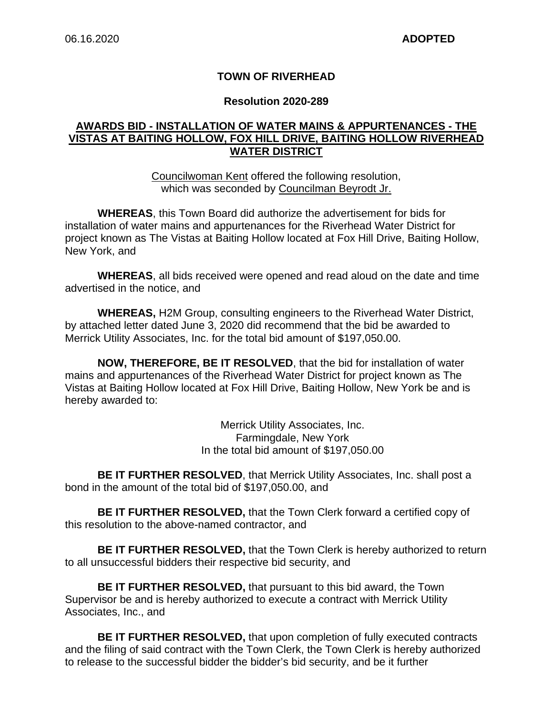### **TOWN OF RIVERHEAD**

#### **Resolution 2020-289**

### **AWARDS BID - INSTALLATION OF WATER MAINS & APPURTENANCES - THE VISTAS AT BAITING HOLLOW, FOX HILL DRIVE, BAITING HOLLOW RIVERHEAD WATER DISTRICT**

Councilwoman Kent offered the following resolution, which was seconded by Councilman Beyrodt Jr.

**WHEREAS**, this Town Board did authorize the advertisement for bids for installation of water mains and appurtenances for the Riverhead Water District for project known as The Vistas at Baiting Hollow located at Fox Hill Drive, Baiting Hollow, New York, and

**WHEREAS**, all bids received were opened and read aloud on the date and time advertised in the notice, and

**WHEREAS,** H2M Group, consulting engineers to the Riverhead Water District, by attached letter dated June 3, 2020 did recommend that the bid be awarded to Merrick Utility Associates, Inc. for the total bid amount of \$197,050.00.

**NOW, THEREFORE, BE IT RESOLVED**, that the bid for installation of water mains and appurtenances of the Riverhead Water District for project known as The Vistas at Baiting Hollow located at Fox Hill Drive, Baiting Hollow, New York be and is hereby awarded to:

> Merrick Utility Associates, Inc. Farmingdale, New York In the total bid amount of \$197,050.00

**BE IT FURTHER RESOLVED**, that Merrick Utility Associates, Inc. shall post a bond in the amount of the total bid of \$197,050.00, and

**BE IT FURTHER RESOLVED,** that the Town Clerk forward a certified copy of this resolution to the above-named contractor, and

**BE IT FURTHER RESOLVED,** that the Town Clerk is hereby authorized to return to all unsuccessful bidders their respective bid security, and

**BE IT FURTHER RESOLVED,** that pursuant to this bid award, the Town Supervisor be and is hereby authorized to execute a contract with Merrick Utility Associates, Inc., and

**BE IT FURTHER RESOLVED,** that upon completion of fully executed contracts and the filing of said contract with the Town Clerk, the Town Clerk is hereby authorized to release to the successful bidder the bidder's bid security, and be it further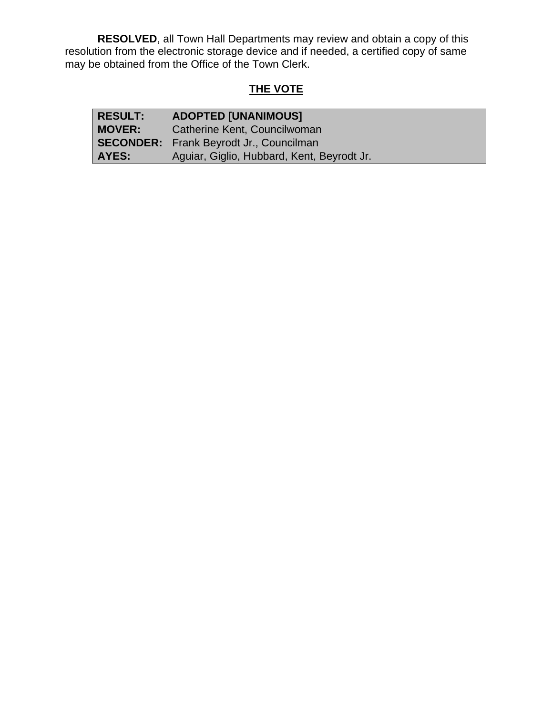**RESOLVED**, all Town Hall Departments may review and obtain a copy of this resolution from the electronic storage device and if needed, a certified copy of same may be obtained from the Office of the Town Clerk.

# **THE VOTE**

| <b>RESULT:</b> | <b>ADOPTED [UNANIMOUS]</b>                     |  |
|----------------|------------------------------------------------|--|
| <b>MOVER:</b>  | Catherine Kent, Councilwoman                   |  |
|                | <b>SECONDER:</b> Frank Beyrodt Jr., Councilman |  |
| AYES:          | Aguiar, Giglio, Hubbard, Kent, Beyrodt Jr.     |  |